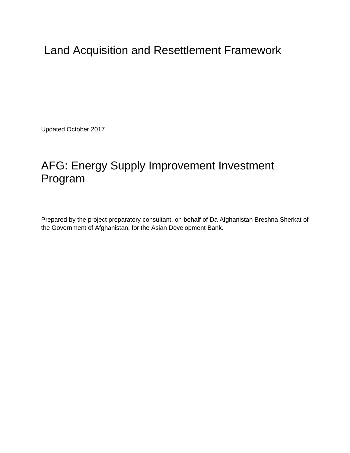Updated October 2017

# AFG: Energy Supply Improvement Investment Program

Prepared by the project preparatory consultant, on behalf of Da Afghanistan Breshna Sherkat of the Government of Afghanistan, for the Asian Development Bank.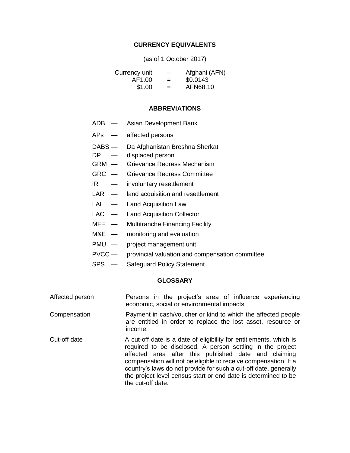#### **CURRENCY EQUIVALENTS**

(as of 1 October 2017)

| Currency unit | $\overline{\phantom{0}}$ | Afghani (AFN) |
|---------------|--------------------------|---------------|
| AF1.00        | $=$                      | \$0.0143      |
| \$1.00        | $=$                      | AFN68.10      |

#### **ABBREVIATIONS**

- ADB Asian Development Bank
- APs affected persons
- DABS Da Afghanistan Breshna Sherkat
- DP displaced person
- GRM Grievance Redress Mechanism
- GRC Grievance Redress Committee
- IR involuntary resettlement
- LAR land acquisition and resettlement
- LAL Land Acquisition Law
- LAC Land Acquisition Collector
- MFF Multitranche Financing Facility
- M&E monitoring and evaluation
- PMU project management unit
- PVCC provincial valuation and compensation committee
- SPS Safeguard Policy Statement

#### **GLOSSARY**

Affected person Persons in the project's area of influence experiencing economic, social or environmental impacts

Compensation Payment in cash/voucher or kind to which the affected people are entitled in order to replace the lost asset, resource or income.

Cut-off date A cut-off date is a date of eligibility for entitlements, which is required to be disclosed. A person settling in the project affected area after this published date and claiming compensation will not be eligible to receive compensation. If a country's laws do not provide for such a cut-off date, generally the project level census start or end date is determined to be the cut-off date.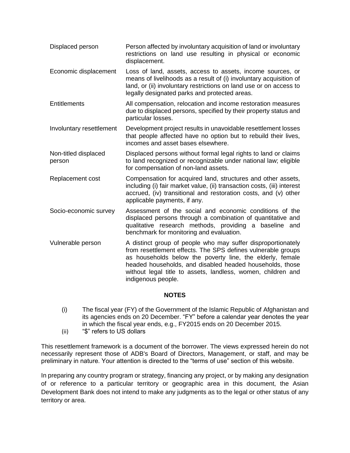Displaced person Person affected by involuntary acquisition of land or involuntary restrictions on land use resulting in physical or economic displacement. Economic displacement Loss of land, assets, access to assets, income sources, or means of livelihoods as a result of (i) involuntary acquisition of land, or (ii) involuntary restrictions on land use or on access to legally designated parks and protected areas. Entitlements All compensation, relocation and income restoration measures due to displaced persons, specified by their property status and particular losses. Involuntary resettlement Development project results in unavoidable resettlement losses that people affected have no option but to rebuild their lives, incomes and asset bases elsewhere. Non-titled displaced person Displaced persons without formal legal rights to land or claims to land recognized or recognizable under national law; eligible for compensation of non-land assets. Replacement cost Compensation for acquired land, structures and other assets, including (i) fair market value, (ii) transaction costs, (iii) interest accrued, (iv) transitional and restoration costs, and (v) other applicable payments, if any. Socio-economic survey Assessment of the social and economic conditions of the displaced persons through a combination of quantitative and qualitative research methods, providing a baseline and benchmark for monitoring and evaluation. Vulnerable person A distinct group of people who may suffer disproportionately from resettlement effects. The SPS defines vulnerable groups as households below the poverty line, the elderly, female headed households, and disabled headed households, those without legal title to assets, landless, women, children and indigenous people.

## **NOTES**

- (i) The fiscal year (FY) of the Government of the Islamic Republic of Afghanistan and its agencies ends on 20 December. "FY" before a calendar year denotes the year in which the fiscal year ends, e.g., FY2015 ends on 20 December 2015.
- (ii) "\$" refers to US dollars

This resettlement framework is a document of the borrower. The views expressed herein do not necessarily represent those of ADB's Board of Directors, Management, or staff, and may be preliminary in nature. Your attention is directed to the "terms of use" section of this website.

In preparing any country program or strategy, financing any project, or by making any designation of or reference to a particular territory or geographic area in this document, the Asian Development Bank does not intend to make any judgments as to the legal or other status of any territory or area.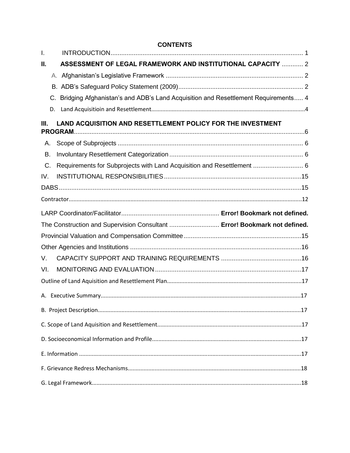## **CONTENTS**

| $\mathbf{I}$ . |                                                                                      |  |
|----------------|--------------------------------------------------------------------------------------|--|
| П.             | ASSESSMENT OF LEGAL FRAMEWORK AND INSTITUTIONAL CAPACITY  2                          |  |
|                |                                                                                      |  |
|                |                                                                                      |  |
|                | C. Bridging Afghanistan's and ADB's Land Acquisition and Resettlement Requirements 4 |  |
|                | D.                                                                                   |  |
| Ш.             | LAND ACQUISITION AND RESETTLEMENT POLICY FOR THE INVESTMENT                          |  |
|                |                                                                                      |  |
| А.             |                                                                                      |  |
| В.             |                                                                                      |  |
| C.             | Requirements for Subprojects with Land Acquisition and Resettlement  6               |  |
| IV.            |                                                                                      |  |
|                |                                                                                      |  |
|                |                                                                                      |  |
|                |                                                                                      |  |
|                |                                                                                      |  |
|                | The Construction and Supervision Consultant  Error! Bookmark not defined.            |  |
|                |                                                                                      |  |
|                |                                                                                      |  |
| V.             |                                                                                      |  |
| VI.            |                                                                                      |  |
|                |                                                                                      |  |
|                |                                                                                      |  |
|                |                                                                                      |  |
|                |                                                                                      |  |
|                |                                                                                      |  |
|                |                                                                                      |  |
|                |                                                                                      |  |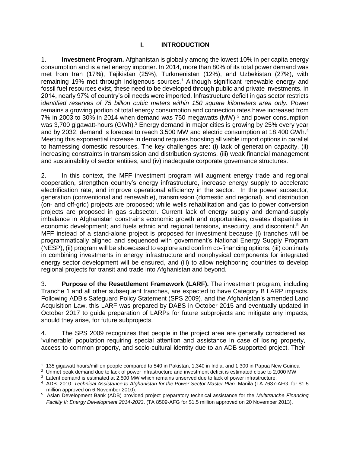## **I. INTRODUCTION**

<span id="page-6-0"></span>1. **Investment Program.** Afghanistan is globally among the lowest 10% in per capita energy consumption and is a net energy importer. In 2014, more than 80% of its total power demand was met from Iran (17%), Tajikistan (25%), Turkmenistan (12%), and Uzbekistan (27%), with remaining 19% met through indigenous sources.<sup>1</sup> Although significant renewable energy and fossil fuel resources exist, these need to be developed through public and private investments. In 2014, nearly 97% of country's oil needs were imported. Infrastructure deficit in gas sector restricts *identified reserves of 75 billion cubic meters within 150 square kilometers area only.* Power remains a growing portion of total energy consumption and connection rates have increased from 7% in 2003 to 30% in 2014 when demand was 750 megawatts (MW)  $<sup>2</sup>$  and power consumption</sup> was 3,700 gigawatt-hours  $(GWh)$ <sup>3</sup> Energy demand in major cities is growing by 25% every year and by 2032, demand is forecast to reach 3,500 MW and electric consumption at 18,400 GWh. $4$ Meeting this exponential increase in demand requires boosting all viable import options in parallel to harnessing domestic resources. The key challenges are: (i) lack of generation capacity, (ii) increasing constraints in transmission and distribution systems, (iii) weak financial management and sustainability of sector entities, and (iv) inadequate corporate governance structures.

2. In this context, the MFF investment program will augment energy trade and regional cooperation, strengthen country's energy infrastructure, increase energy supply to accelerate electrification rate, and improve operational efficiency in the sector. In the power subsector, generation (conventional and renewable), transmission (domestic and regional), and distribution (on- and off-grid) projects are proposed; while wells rehabilitation and gas to power conversion projects are proposed in gas subsector. Current lack of energy supply and demand-supply imbalance in Afghanistan constrains economic growth and opportunities; creates disparities in economic development; and fuels ethnic and regional tensions, insecurity, and discontent.<sup>5</sup> An MFF instead of a stand-alone project is proposed for investment because (i) tranches will be programmatically aligned and sequenced with government's National Energy Supply Program (NESP), (ii) program will be showcased to explore and confirm co-financing options, (iii) continuity in combining investments in energy infrastructure and nonphysical components for integrated energy sector development will be ensured, and (iii) to allow neighboring countries to develop regional projects for transit and trade into Afghanistan and beyond.

3. **Purpose of the Resettlement Framework (LARF).** The investment program, including Tranche 1 and all other subsequent tranches, are expected to have Category B LARP impacts. Following ADB's Safeguard Policy Statement (SPS 2009), and the Afghanistan's amended Land Acquisition Law, this LARF was prepared by DABS in October 2015 and eventually updated in October 2017 to guide preparation of LARPs for future subprojects and mitigate any impacts, should they arise, for future subprojects.

4. The SPS 2009 recognizes that people in the project area are generally considered as 'vulnerable' population requiring special attention and assistance in case of losing property, access to common property, and socio-cultural identity due to an ADB supported project. Their

 $\overline{a}$ 

<sup>1</sup> 135 gigawatt hours/million people compared to 540 in Pakistan, 1,340 in India, and 1,300 in Papua New Guinea

 $^2$  Unmet peak demand due to lack of power infrastructure and investment deficit is estimated close to 2,000 MW

 $3$  Latent demand is estimated at 2,500 MW which remains unserved due to lack of power infrastructure.

<sup>&</sup>lt;sup>4</sup> ADB. 2010. *Technical Assistance to Afghanistan for the Power Sector Master Plan. Manila (TA 7637-AFG, for \$1.5* million approved on 6 November 2010).

<sup>5</sup> Asian Development Bank (ADB) provided project preparatory technical assistance for the *Multitranche Financing Facility II: Energy Development 2014-2023*. (TA 8509-AFG for \$1.5 million approved on 20 November 2013).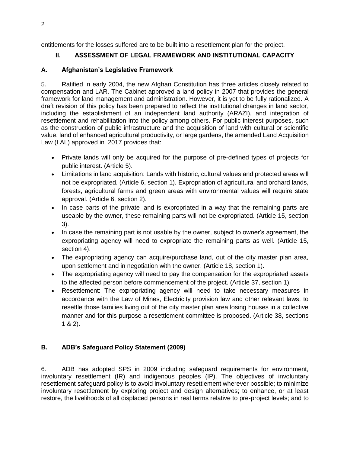<span id="page-7-0"></span>entitlements for the losses suffered are to be built into a resettlement plan for the project.

# II. ASSESSMENT OF LEGAL FRAMEWORK AND INSTITUTIONAL CAPACITY

# <span id="page-7-1"></span>**A. Afghanistan's Legislative Framework**

5. Ratified in early 2004, the new Afghan Constitution has three articles closely related to compensation and LAR. The Cabinet approved a land policy in 2007 that provides the general framework for land management and administration. However, it is yet to be fully rationalized. A draft revision of this policy has been prepared to reflect the institutional changes in land sector, including the establishment of an independent land authority (ARAZI), and integration of resettlement and rehabilitation into the policy among others. For public interest purposes, such as the construction of public infrastructure and the acquisition of land with cultural or scientific value, land of enhanced agricultural productivity, or large gardens, the amended Land Acquisition Law (LAL) approved in 2017 provides that:

- Private lands will only be acquired for the purpose of pre-defined types of projects for public interest. (Article 5).
- Limitations in land acquisition: Lands with historic, cultural values and protected areas will not be expropriated. (Article 6, section 1). Expropriation of agricultural and orchard lands, forests, agricultural farms and green areas with environmental values will require state approval. (Article 6, section 2).
- In case parts of the private land is expropriated in a way that the remaining parts are useable by the owner, these remaining parts will not be expropriated. (Article 15, section 3).
- In case the remaining part is not usable by the owner, subject to owner's agreement, the expropriating agency will need to expropriate the remaining parts as well. (Article 15, section 4).
- The expropriating agency can acquire/purchase land, out of the city master plan area, upon settlement and in negotiation with the owner. (Article 18, section 1).
- The expropriating agency will need to pay the compensation for the expropriated assets to the affected person before commencement of the project. (Article 37, section 1).
- Resettlement: The expropriating agency will need to take necessary measures in accordance with the Law of Mines, Electricity provision law and other relevant laws, to resettle those families living out of the city master plan area losing houses in a collective manner and for this purpose a resettlement committee is proposed. (Article 38, sections 1 & 2).

# <span id="page-7-2"></span>**B. ADB's Safeguard Policy Statement (2009)**

6. ADB has adopted SPS in 2009 including safeguard requirements for environment, involuntary resettlement (IR) and indigenous peoples (IP). The objectives of involuntary resettlement safeguard policy is to avoid involuntary resettlement wherever possible; to minimize involuntary resettlement by exploring project and design alternatives; to enhance, or at least restore, the livelihoods of all displaced persons in real terms relative to pre-project levels; and to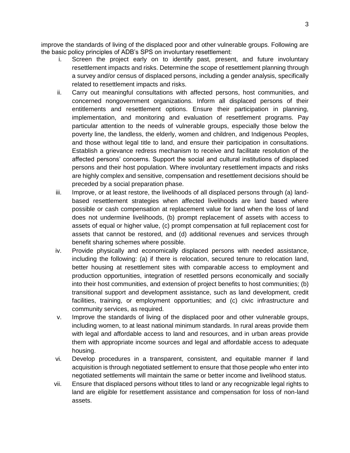improve the standards of living of the displaced poor and other vulnerable groups. Following are the basic policy principles of ADB's SPS on involuntary resettlement:

- i. Screen the project early on to identify past, present, and future involuntary resettlement impacts and risks. Determine the scope of resettlement planning through a survey and/or census of displaced persons, including a gender analysis, specifically related to resettlement impacts and risks.
- ii. Carry out meaningful consultations with affected persons, host communities, and concerned nongovernment organizations. Inform all displaced persons of their entitlements and resettlement options. Ensure their participation in planning, implementation, and monitoring and evaluation of resettlement programs. Pay particular attention to the needs of vulnerable groups, especially those below the poverty line, the landless, the elderly, women and children, and Indigenous Peoples, and those without legal title to land, and ensure their participation in consultations. Establish a grievance redress mechanism to receive and facilitate resolution of the affected persons' concerns. Support the social and cultural institutions of displaced persons and their host population. Where involuntary resettlement impacts and risks are highly complex and sensitive, compensation and resettlement decisions should be preceded by a social preparation phase.
- iii. Improve, or at least restore, the livelihoods of all displaced persons through (a) landbased resettlement strategies when affected livelihoods are land based where possible or cash compensation at replacement value for land when the loss of land does not undermine livelihoods, (b) prompt replacement of assets with access to assets of equal or higher value, (c) prompt compensation at full replacement cost for assets that cannot be restored, and (d) additional revenues and services through benefit sharing schemes where possible.
- iv. Provide physically and economically displaced persons with needed assistance, including the following: (a) if there is relocation, secured tenure to relocation land, better housing at resettlement sites with comparable access to employment and production opportunities, integration of resettled persons economically and socially into their host communities, and extension of project benefits to host communities; (b) transitional support and development assistance, such as land development, credit facilities, training, or employment opportunities; and (c) civic infrastructure and community services, as required.
- v. Improve the standards of living of the displaced poor and other vulnerable groups, including women, to at least national minimum standards. In rural areas provide them with legal and affordable access to land and resources, and in urban areas provide them with appropriate income sources and legal and affordable access to adequate housing.
- vi. Develop procedures in a transparent, consistent, and equitable manner if land acquisition is through negotiated settlement to ensure that those people who enter into negotiated settlements will maintain the same or better income and livelihood status.
- vii. Ensure that displaced persons without titles to land or any recognizable legal rights to land are eligible for resettlement assistance and compensation for loss of non-land assets.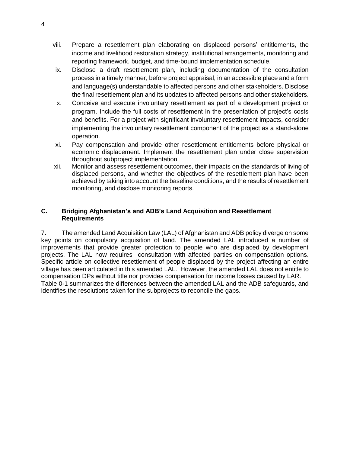- viii. Prepare a resettlement plan elaborating on displaced persons' entitlements, the income and livelihood restoration strategy, institutional arrangements, monitoring and reporting framework, budget, and time-bound implementation schedule.
- ix. Disclose a draft resettlement plan, including documentation of the consultation process in a timely manner, before project appraisal, in an accessible place and a form and language(s) understandable to affected persons and other stakeholders. Disclose the final resettlement plan and its updates to affected persons and other stakeholders.
- x. Conceive and execute involuntary resettlement as part of a development project or program. Include the full costs of resettlement in the presentation of project's costs and benefits. For a project with significant involuntary resettlement impacts, consider implementing the involuntary resettlement component of the project as a stand-alone operation.
- xi. Pay compensation and provide other resettlement entitlements before physical or economic displacement. Implement the resettlement plan under close supervision throughout subproject implementation.
- xii. Monitor and assess resettlement outcomes, their impacts on the standards of living of displaced persons, and whether the objectives of the resettlement plan have been achieved by taking into account the baseline conditions, and the results of resettlement monitoring, and disclose monitoring reports.

## <span id="page-9-0"></span>**C. Bridging Afghanistan's and ADB's Land Acquisition and Resettlement Requirements**

7. The amended Land Acquisition Law (LAL) of Afghanistan and ADB policy diverge on some key points on compulsory acquisition of land. The amended LAL introduced a number of improvements that provide greater protection to people who are displaced by development projects. The LAL now requires consultation with affected parties on compensation options. Specific article on collective resettlement of people displaced by the project affecting an entire village has been articulated in this amended LAL. However, the amended LAL does not entitle to compensation DPs without title nor provides compensation for income losses caused by LAR. [Table 0-1](#page-10-0) summarizes the differences between the amended LAL and the ADB safeguards, and identifies the resolutions taken for the subprojects to reconcile the gaps.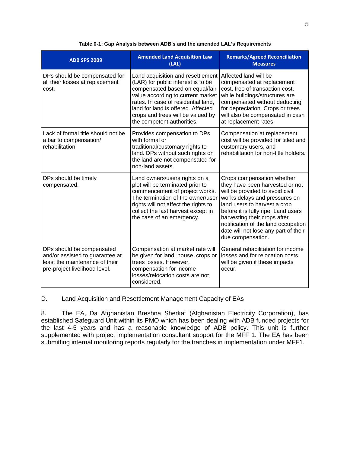<span id="page-10-0"></span>

| <b>ADB SPS 2009</b>                                                                                                             | <b>Amended Land Acquisition Law</b><br>(LAL)                                                                                                                                                                                                                                                    | <b>Remarks/Agreed Reconciliation</b><br><b>Measures</b>                                                                                                                                                                                                                                                                                      |
|---------------------------------------------------------------------------------------------------------------------------------|-------------------------------------------------------------------------------------------------------------------------------------------------------------------------------------------------------------------------------------------------------------------------------------------------|----------------------------------------------------------------------------------------------------------------------------------------------------------------------------------------------------------------------------------------------------------------------------------------------------------------------------------------------|
| DPs should be compensated for<br>all their losses at replacement<br>cost.                                                       | Land acquisition and resettlement<br>(LAR) for public interest is to be<br>compensated based on equal/fair<br>value according to current market<br>rates. In case of residential land,<br>land for land is offered. Affected<br>crops and trees will be valued by<br>the competent authorities. | Affected land will be<br>compensated at replacement<br>cost, free of transaction cost,<br>while buildings/structures are<br>compensated without deducting<br>for depreciation. Crops or trees<br>will also be compensated in cash<br>at replacement rates.                                                                                   |
| Lack of formal title should not be<br>a bar to compensation/<br>rehabilitation.                                                 | Provides compensation to DPs<br>with formal or<br>traditional/customary rights to<br>land. DPs without such rights on<br>the land are not compensated for<br>non-land assets                                                                                                                    | Compensation at replacement<br>cost will be provided for titled and<br>customary users, and<br>rehabilitation for non-title holders.                                                                                                                                                                                                         |
| DPs should be timely<br>compensated.                                                                                            | Land owners/users rights on a<br>plot will be terminated prior to<br>commencement of project works.<br>The termination of the owner/user<br>rights will not affect the rights to<br>collect the last harvest except in<br>the case of an emergency.                                             | Crops compensation whether<br>they have been harvested or not<br>will be provided to avoid civil<br>works delays and pressures on<br>land users to harvest a crop<br>before it is fully ripe. Land users<br>harvesting their crops after<br>notification of the land occupation<br>date will not lose any part of their<br>due compensation. |
| DPs should be compensated<br>and/or assisted to guarantee at<br>least the maintenance of their<br>pre-project livelihood level. | Compensation at market rate will<br>be given for land, house, crops or<br>trees losses. However,<br>compensation for income<br>losses/relocation costs are not<br>considered.                                                                                                                   | General rehabilitation for income<br>losses and for relocation costs<br>will be given if these impacts<br>occur.                                                                                                                                                                                                                             |

#### **Table 0-1: Gap Analysis between ADB's and the amended LAL's Requirements**

D. Land Acquisition and Resettlement Management Capacity of EAs

8. The EA, Da Afghanistan Breshna Sherkat (Afghanistan Electricity Corporation), has established Safeguard Unit within its PMO which has been dealing with ADB funded projects for the last 4-5 years and has a reasonable knowledge of ADB policy. This unit is further supplemented with project implementation consultant support for the MFF 1. The EA has been submitting internal monitoring reports regularly for the tranches in implementation under MFF1.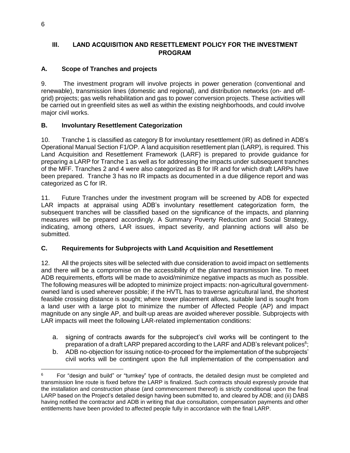# <span id="page-11-0"></span>III. LAND ACQUISITION AND RESETTLEMENT POLICY FOR THE INVESTMENT PROGRAM

# <span id="page-11-1"></span>**A. Scope of Tranches and projects**

9. The investment program will involve projects in power generation (conventional and renewable), transmission lines (domestic and regional), and distribution networks (on- and offgrid) projects; gas wells rehabilitation and gas to power conversion projects. These activities will be carried out in greenfield sites as well as within the existing neighborhoods, and could involve major civil works.

# <span id="page-11-2"></span>**B. Involuntary Resettlement Categorization**

10. Tranche 1 is classified as category B for involuntary resettlement (IR) as defined in ADB's Operational Manual Section F1/OP. A land acquisition resettlement plan (LARP), is required. This Land Acquisition and Resettlement Framework (LARF) is prepared to provide guidance for preparing a LARP for Tranche 1 as well as for addressing the impacts under subsequent tranches of the MFF. Tranches 2 and 4 were also categorized as B for IR and for which draft LARPs have been prepared. Tranche 3 has no IR impacts as documented in a due diligence report and was categorized as C for IR.

11. Future Tranches under the investment program will be screened by ADB for expected LAR impacts at appraisal using ADB's involuntary resettlement categorization form, the subsequent tranches will be classified based on the significance of the impacts, and planning measures will be prepared accordingly. A Summary Poverty Reduction and Social Strategy, indicating, among others, LAR issues, impact severity, and planning actions will also be submitted.

## <span id="page-11-3"></span>**C. Requirements for Subprojects with Land Acquisition and Resettlement**

12. All the projects sites will be selected with due consideration to avoid impact on settlements and there will be a compromise on the accessibility of the planned transmission line. To meet ADB requirements, efforts will be made to avoid/minimize negative impacts as much as possible. The following measures will be adopted to minimize project impacts: non-agricultural governmentowned land is used wherever possible; if the HVTL has to traverse agricultural land, the shortest feasible crossing distance is sought; where tower placement allows, suitable land is sought from a land user with a large plot to minimize the number of Affected People (AP) and impact magnitude on any single AP, and built-up areas are avoided wherever possible. Subprojects with LAR impacts will meet the following LAR-related implementation conditions:

- a. signing of contracts awards for the subproject's civil works will be contingent to the preparation of a draft LARP prepared according to the LARF and ADB's relevant polices $6;$
- b. ADB no-objection for issuing notice-to-proceed for the implementation of the subprojects' civil works will be contingent upon the full implementation of the compensation and

l 6 For "design and build" or "turnkey" type of contracts, the detailed design must be completed and transmission line route is fixed before the LARP is finalized. Such contracts should expressly provide that the installation and construction phase (and commencement thereof) is strictly conditional upon the final LARP based on the Project's detailed design having been submitted to, and cleared by ADB; and (ii) DABS having notified the contractor and ADB in writing that due consultation, compensation payments and other entitlements have been provided to affected people fully in accordance with the final LARP.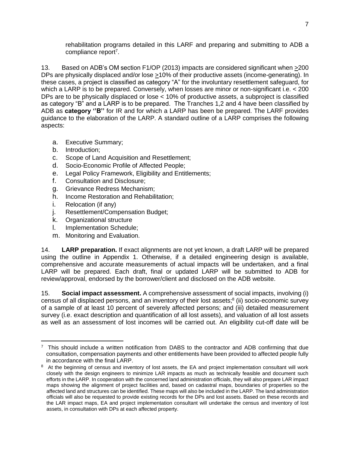rehabilitation programs detailed in this LARF and preparing and submitting to ADB a compliance report<sup>7</sup>.

13. Based on ADB's OM section F1/OP (2013) impacts are considered significant when >200 DPs are physically displaced and/or lose >10% of their productive assets (income-generating). In these cases, a project is classified as category "A" for the involuntary resettlement safeguard, for which a LARP is to be prepared. Conversely, when losses are minor or non-significant i.e. < 200 DPs are to be physically displaced or lose < 10% of productive assets, a subproject is classified as category "B" and a LARP is to be prepared. The Tranches 1,2 and 4 have been classified by ADB as **category ''B''** for IR and for which a LARP has been be prepared. The LARF provides guidance to the elaboration of the LARP. A standard outline of a LARP comprises the following aspects:

- a. Executive Summary;
- b. Introduction;
- c. Scope of Land Acquisition and Resettlement;
- d. Socio-Economic Profile of Affected People;
- e. Legal Policy Framework, Eligibility and Entitlements;
- f. Consultation and Disclosure;
- g. Grievance Redress Mechanism;
- h. Income Restoration and Rehabilitation;
- i. Relocation (if any)
- j. Resettlement/Compensation Budget;
- k. Organizational structure
- l. Implementation Schedule;
- m. Monitoring and Evaluation.

14. **LARP preparation.** If exact alignments are not yet known, a draft LARP will be prepared using the outline in Appendix 1. Otherwise, if a detailed engineering design is available, comprehensive and accurate measurements of actual impacts will be undertaken, and a final LARP will be prepared. Each draft, final or updated LARP will be submitted to ADB for review/approval, endorsed by the borrower/client and disclosed on the ADB website.

15. **Social impact assessment.** A comprehensive assessment of social impacts, involving (i) census of all displaced persons, and an inventory of their lost assets;<sup>8</sup> (ii) socio-economic survey of a sample of at least 10 percent of severely affected persons; and (iii) detailed measurement survey (i.e. exact description and quantification of all lost assets), and valuation of all lost assets as well as an assessment of lost incomes will be carried out. An eligibility cut-off date will be

 $\overline{\phantom{a}}$ <sup>7</sup> This should include a written notification from DABS to the contractor and ADB confirming that due consultation, compensation payments and other entitlements have been provided to affected people fully in accordance with the final LARP.

<sup>&</sup>lt;sup>8</sup> At the beginning of census and inventory of lost assets, the EA and project implementation consultant will work closely with the design engineers to minimize LAR impacts as much as technically feasible and document such efforts in the LARP. In cooperation with the concerned land administration officials, they will also prepare LAR impact maps showing the alignment of project facilities and, based on cadastral maps, boundaries of properties so the affected land and structures can be identified. These maps will also be included in the LARP. The land administration officials will also be requested to provide existing records for the DPs and lost assets. Based on these records and the LAR impact maps, EA and project implementation consultant will undertake the census and inventory of lost assets, in consultation with DPs at each affected property.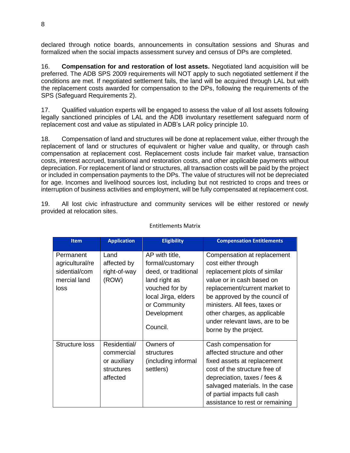declared through notice boards, announcements in consultation sessions and Shuras and formalized when the social impacts assessment survey and census of DPs are completed.

16. **Compensation for and restoration of lost assets.** Negotiated land acquisition will be preferred. The ADB SPS 2009 requirements will NOT apply to such negotiated settlement if the conditions are met. If negotiated settlement fails, the land will be acquired through LAL but with the replacement costs awarded for compensation to the DPs, following the requirements of the SPS (Safeguard Requirements 2).

17. Qualified valuation experts will be engaged to assess the value of all lost assets following legally sanctioned principles of LAL and the ADB involuntary resettlement safeguard norm of replacement cost and value as stipulated in ADB's LAR policy principle 10.

18. Compensation of land and structures will be done at replacement value, either through the replacement of land or structures of equivalent or higher value and quality, or through cash compensation at replacement cost. Replacement costs include fair market value, transaction costs, interest accrued, transitional and restoration costs, and other applicable payments without depreciation. For replacement of land or structures, all transaction costs will be paid by the project or included in compensation payments to the DPs. The value of structures will not be depreciated for age. Incomes and livelihood sources lost, including but not restricted to crops and trees or interruption of business activities and employment, will be fully compensated at replacement cost.

19. All lost civic infrastructure and community services will be either restored or newly provided at relocation sites.

| <b>Item</b>                                                           | <b>Application</b>                                                   | <b>Eligibility</b>                                                                                                                                              | <b>Compensation Entitlements</b>                                                                                                                                                                                                                                                                              |
|-----------------------------------------------------------------------|----------------------------------------------------------------------|-----------------------------------------------------------------------------------------------------------------------------------------------------------------|---------------------------------------------------------------------------------------------------------------------------------------------------------------------------------------------------------------------------------------------------------------------------------------------------------------|
| Permanent<br>agricultural/re<br>sidential/com<br>mercial land<br>loss | Land<br>affected by<br>right-of-way<br>(ROW)                         | AP with title,<br>formal/customary<br>deed, or traditional<br>land right as<br>vouched for by<br>local Jirga, elders<br>or Community<br>Development<br>Council. | Compensation at replacement<br>cost either through<br>replacement plots of similar<br>value or in cash based on<br>replacement/current market to<br>be approved by the council of<br>ministers. All fees, taxes or<br>other charges, as applicable<br>under relevant laws, are to be<br>borne by the project. |
| Structure loss                                                        | Residential/<br>commercial<br>or auxiliary<br>structures<br>affected | Owners of<br>structures<br>(including informal<br>settlers)                                                                                                     | Cash compensation for<br>affected structure and other<br>fixed assets at replacement<br>cost of the structure free of<br>depreciation, taxes / fees &<br>salvaged materials. In the case<br>of partial impacts full cash<br>assistance to rest or remaining                                                   |

#### Entitlements Matrix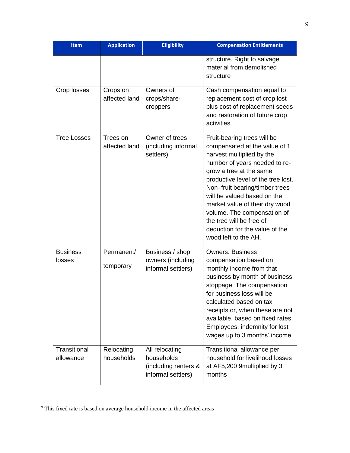| <b>Item</b>               | <b>Application</b>        | <b>Eligibility</b>                                                         | <b>Compensation Entitlements</b>                                                                                                                                                                                                                                                                                                                                                                                    |
|---------------------------|---------------------------|----------------------------------------------------------------------------|---------------------------------------------------------------------------------------------------------------------------------------------------------------------------------------------------------------------------------------------------------------------------------------------------------------------------------------------------------------------------------------------------------------------|
|                           |                           |                                                                            | structure. Right to salvage<br>material from demolished<br>structure                                                                                                                                                                                                                                                                                                                                                |
| Crop losses               | Crops on<br>affected land | Owners of<br>crops/share-<br>croppers                                      | Cash compensation equal to<br>replacement cost of crop lost<br>plus cost of replacement seeds<br>and restoration of future crop<br>activities.                                                                                                                                                                                                                                                                      |
| <b>Tree Losses</b>        | Trees on<br>affected land | Owner of trees<br>(including informal<br>settlers)                         | Fruit-bearing trees will be<br>compensated at the value of 1<br>harvest multiplied by the<br>number of years needed to re-<br>grow a tree at the same<br>productive level of the tree lost.<br>Non-fruit bearing/timber trees<br>will be valued based on the<br>market value of their dry wood<br>volume. The compensation of<br>the tree will be free of<br>deduction for the value of the<br>wood left to the AH. |
| <b>Business</b><br>losses | Permanent/<br>temporary   | Business / shop<br>owners (including<br>informal settlers)                 | <b>Owners: Business</b><br>compensation based on<br>monthly income from that<br>business by month of business<br>stoppage. The compensation<br>for business loss will be<br>calculated based on tax<br>receipts or, when these are not<br>available, based on fixed rates.<br>Employees: indemnity for lost<br>wages up to 3 months' income                                                                         |
| Transitional<br>allowance | Relocating<br>households  | All relocating<br>households<br>(including renters &<br>informal settlers) | Transitional allowance per<br>household for livelihood losses<br>at AF5,200 9multiplied by 3<br>months                                                                                                                                                                                                                                                                                                              |

<sup>&</sup>lt;sup>9</sup> This fixed rate is based on average household income in the affected areas

 $\overline{\phantom{a}}$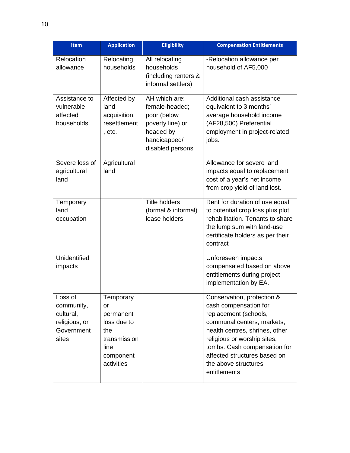| <b>Item</b>                                                               | <b>Application</b>                                                                                    | <b>Eligibility</b>                                                                                                  | <b>Compensation Entitlements</b>                                                                                                                                                                                                                                                    |
|---------------------------------------------------------------------------|-------------------------------------------------------------------------------------------------------|---------------------------------------------------------------------------------------------------------------------|-------------------------------------------------------------------------------------------------------------------------------------------------------------------------------------------------------------------------------------------------------------------------------------|
| Relocation<br>allowance                                                   | Relocating<br>households                                                                              | All relocating<br>households<br>(including renters &<br>informal settlers)                                          | -Relocation allowance per<br>household of AF5,000                                                                                                                                                                                                                                   |
| Assistance to<br>vulnerable<br>affected<br>households                     | Affected by<br>land<br>acquisition,<br>resettlement<br>, etc.                                         | AH which are:<br>female-headed;<br>poor (below<br>poverty line) or<br>headed by<br>handicapped/<br>disabled persons | Additional cash assistance<br>equivalent to 3 months'<br>average household income<br>(AF28,500) Preferential<br>employment in project-related<br>jobs.                                                                                                                              |
| Severe loss of<br>agricultural<br>land                                    | Agricultural<br>land                                                                                  |                                                                                                                     | Allowance for severe land<br>impacts equal to replacement<br>cost of a year's net income<br>from crop yield of land lost.                                                                                                                                                           |
| Temporary<br>land<br>occupation                                           |                                                                                                       | <b>Title holders</b><br>(formal & informal)<br>lease holders                                                        | Rent for duration of use equal<br>to potential crop loss plus plot<br>rehabilitation. Tenants to share<br>the lump sum with land-use<br>certificate holders as per their<br>contract                                                                                                |
| Unidentified<br>impacts                                                   |                                                                                                       |                                                                                                                     | Unforeseen impacts<br>compensated based on above<br>entitlements during project<br>implementation by EA.                                                                                                                                                                            |
| oss of<br>community,<br>cultural,<br>religious, or<br>Government<br>sites | Temporary<br>or<br>permanent<br>loss due to<br>the<br>transmission<br>line<br>component<br>activities |                                                                                                                     | Conservation, protection &<br>cash compensation for<br>replacement (schools,<br>communal centers, markets,<br>health centres, shrines, other<br>religious or worship sites,<br>tombs. Cash compensation for<br>affected structures based on<br>the above structures<br>entitlements |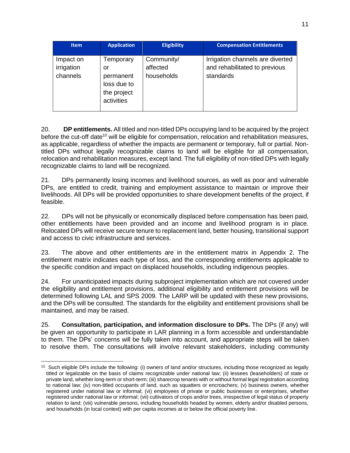| <b>Item</b>                         | <b>Application</b>                                                       | <b>Eligibility</b>                   | <b>Compensation Entitlements</b>                                               |
|-------------------------------------|--------------------------------------------------------------------------|--------------------------------------|--------------------------------------------------------------------------------|
| Impact on<br>irrigation<br>channels | Temporary<br>or<br>permanent<br>loss due to<br>the project<br>activities | Community/<br>affected<br>households | Irrigation channels are diverted<br>and rehabilitated to previous<br>standards |

20. **DP entitlements.** All titled and non-titled DPs occupying land to be acquired by the project before the cut-off date<sup>10</sup> will be eligible for compensation, relocation and rehabilitation measures, as applicable, regardless of whether the impacts are permanent or temporary, full or partial. Nontitled DPs without legally recognizable claims to land will be eligible for all compensation, relocation and rehabilitation measures, except land. The full eligibility of non-titled DPs with legally recognizable claims to land will be recognized.

21. DPs permanently losing incomes and livelihood sources, as well as poor and vulnerable DPs, are entitled to credit, training and employment assistance to maintain or improve their livelihoods. All DPs will be provided opportunities to share development benefits of the project, if feasible.

22. DPs will not be physically or economically displaced before compensation has been paid, other entitlements have been provided and an income and livelihood program is in place. Relocated DPs will receive secure tenure to replacement land, better housing, transitional support and access to civic infrastructure and services.

23. The above and other entitlements are in the entitlement matrix in Appendix 2. The entitlement matrix indicates each type of loss, and the corresponding entitlements applicable to the specific condition and impact on displaced households, including indigenous peoples.

24. For unanticipated impacts during subproject implementation which are not covered under the eligibility and entitlement provisions, additional eligibility and entitlement provisions will be determined following LAL and SPS 2009. The LARP will be updated with these new provisions, and the DPs will be consulted. The standards for the eligibility and entitlement provisions shall be maintained, and may be raised.

25. **Consultation, participation, and information disclosure to DPs.** The DPs (if any) will be given an opportunity to participate in LAR planning in a form accessible and understandable to them. The DPs' concerns will be fully taken into account, and appropriate steps will be taken to resolve them. The consultations will involve relevant stakeholders, including community

 $\overline{\phantom{a}}$  $10$  Such eligible DPs include the following: (i) owners of land and/or structures, including those recognized as legally titled or legalizable on the basis of claims recognizable under national law; (ii) lessees (leaseholders) of state or private land, whether long-term or short-term; (iii) sharecrop tenants with or without formal legal registration according to national law; (iv) non-titled occupants of land, such as squatters or encroachers; (v) business owners, whether registered under national law or informal; (vi) employees of private or public businesses or enterprises, whether registered under national law or informal; (vii) cultivators of crops and/or trees, irrespective of legal status of property relation to land; (viii) vulnerable persons, including households headed by women, elderly and/or disabled persons, and households (in local context) with per capita incomes at or below the official poverty line.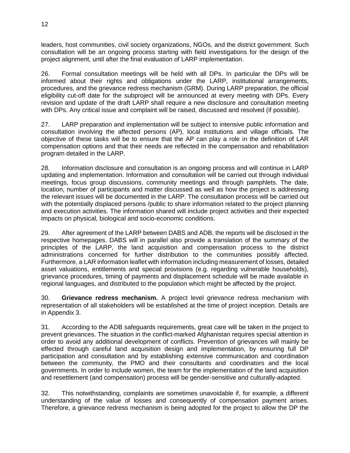leaders, host communities, civil society organizations, NGOs, and the district government. Such consultation will be an ongoing process starting with field investigations for the design of the project alignment, until after the final evaluation of LARP implementation.

26. Formal consultation meetings will be held with all DPs. In particular the DPs will be informed about their rights and obligations under the LARP, institutional arrangements, procedures, and the grievance redress mechanism (GRM). During LARP preparation, the official eligibility cut-off date for the subproject will be announced at every meeting with DPs. Every revision and update of the draft LARP shall require a new disclosure and consultation meeting with DPs. Any critical issue and complaint will be raised, discussed and resolved (if possible).

27. LARP preparation and implementation will be subject to intensive public information and consultation involving the affected persons (AP), local institutions and village officials. The objective of these tasks will be to ensure that the AP can play a role in the definition of LAR compensation options and that their needs are reflected in the compensation and rehabilitation program detailed in the LARP.

28. Information disclosure and consultation is an ongoing process and will continue in LARP updating and implementation. Information and consultation will be carried out through individual meetings, focus group discussions, community meetings and through pamphlets. The date, location, number of participants and matter discussed as well as how the project is addressing the relevant issues will be documented in the LARP. The consultation process will be carried out with the potentially displaced persons /public to share information related to the project planning and execution activities. The information shared will include project activities and their expected impacts on physical, biological and socio-economic conditions.

29. After agreement of the LARP between DABS and ADB, the reports will be disclosed in the respective homepages. DABS will in parallel also provide a translation of the summary of the principles of the LARP, the land acquisition and compensation process to the district administrations concerned for further distribution to the communities possibly affected. Furthermore, a LAR information leaflet with information including measurement of losses, detailed asset valuations, entitlements and special provisions (e.g. regarding vulnerable households), grievance procedures, timing of payments and displacement schedule will be made available in regional languages, and distributed to the population which might be affected by the project.

30. **Grievance redress mechanism.** A project level grievance redress mechanism with representation of all stakeholders will be established at the time of project inception. Details are in Appendix 3.

31. According to the ADB safeguards requirements, great care will be taken in the project to prevent grievances. The situation in the conflict-marked Afghanistan requires special attention in order to avoid any additional development of conflicts. Prevention of grievances will mainly be effected through careful land acquisition design and implementation, by ensuring full DP participation and consultation and by establishing extensive communication and coordination between the community, the PMO and their consultants and coordinators and the local governments. In order to include women, the team for the implementation of the land acquisition and resettlement (and compensation) process will be gender-sensitive and culturally-adapted.

32. This notwithstanding, complaints are sometimes unavoidable if, for example, a different understanding of the value of losses and consequently of compensation payment arises. Therefore, a grievance redress mechanism is being adopted for the project to allow the DP the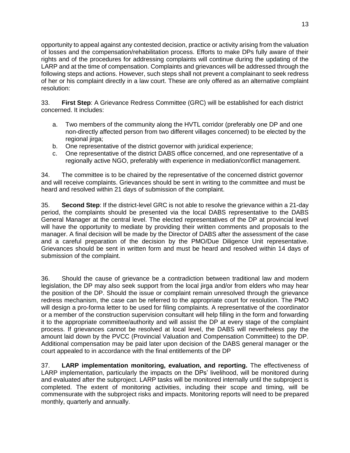opportunity to appeal against any contested decision, practice or activity arising from the valuation of losses and the compensation/rehabilitation process. Efforts to make DPs fully aware of their rights and of the procedures for addressing complaints will continue during the updating of the LARP and at the time of compensation. Complaints and grievances will be addressed through the following steps and actions. However, such steps shall not prevent a complainant to seek redress of her or his complaint directly in a law court. These are only offered as an alternative complaint resolution:

33. **First Step**: A Grievance Redress Committee (GRC) will be established for each district concerned. It includes:

- a. Two members of the community along the HVTL corridor (preferably one DP and one non-directly affected person from two different villages concerned) to be elected by the regional jirga;
- b. One representative of the district governor with juridical experience;
- c. One representative of the district DABS office concerned, and one representative of a regionally active NGO, preferably with experience in mediation/conflict management.

34. The committee is to be chaired by the representative of the concerned district governor and will receive complaints. Grievances should be sent in writing to the committee and must be heard and resolved within 21 days of submission of the complaint.

35. **Second Step**: If the district-level GRC is not able to resolve the grievance within a 21-day period, the complaints should be presented via the local DABS representative to the DABS General Manager at the central level. The elected representatives of the DP at provincial level will have the opportunity to mediate by providing their written comments and proposals to the manager. A final decision will be made by the Director of DABS after the assessment of the case and a careful preparation of the decision by the PMO/Due Diligence Unit representative. Grievances should be sent in written form and must be heard and resolved within 14 days of submission of the complaint.

36. Should the cause of grievance be a contradiction between traditional law and modern legislation, the DP may also seek support from the local jirga and/or from elders who may hear the position of the DP. Should the issue or complaint remain unresolved through the grievance redress mechanism, the case can be referred to the appropriate court for resolution. The PMO will design a pro-forma letter to be used for filing complaints. A representative of the coordinator or a member of the construction supervision consultant will help filling in the form and forwarding it to the appropriate committee/authority and will assist the DP at every stage of the complaint process. If grievances cannot be resolved at local level, the DABS will nevertheless pay the amount laid down by the PVCC (Provincial Valuation and Compensation Committee) to the DP. Additional compensation may be paid later upon decision of the DABS general manager or the court appealed to in accordance with the final entitlements of the DP

37. **LARP implementation monitoring, evaluation, and reporting.** The effectiveness of LARP implementation, particularly the impacts on the DPs' livelihood, will be monitored during and evaluated after the subproject. LARP tasks will be monitored internally until the subproject is completed. The extent of monitoring activities, including their scope and timing, will be commensurate with the subproject risks and impacts. Monitoring reports will need to be prepared monthly, quarterly and annually.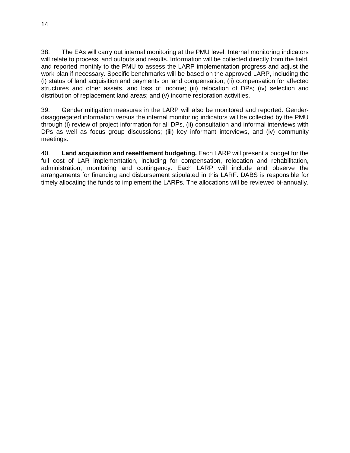38. The EAs will carry out internal monitoring at the PMU level. Internal monitoring indicators will relate to process, and outputs and results. Information will be collected directly from the field, and reported monthly to the PMU to assess the LARP implementation progress and adjust the work plan if necessary. Specific benchmarks will be based on the approved LARP, including the (i) status of land acquisition and payments on land compensation; (ii) compensation for affected structures and other assets, and loss of income; (iii) relocation of DPs; (iv) selection and distribution of replacement land areas; and (v) income restoration activities.

39. Gender mitigation measures in the LARP will also be monitored and reported. Genderdisaggregated information versus the internal monitoring indicators will be collected by the PMU through (i) review of project information for all DPs, (ii) consultation and informal interviews with DPs as well as focus group discussions; (iii) key informant interviews, and (iv) community meetings.

40. **Land acquisition and resettlement budgeting.** Each LARP will present a budget for the full cost of LAR implementation, including for compensation, relocation and rehabilitation, administration, monitoring and contingency. Each LARP will include and observe the arrangements for financing and disbursement stipulated in this LARF. DABS is responsible for timely allocating the funds to implement the LARPs. The allocations will be reviewed bi-annually.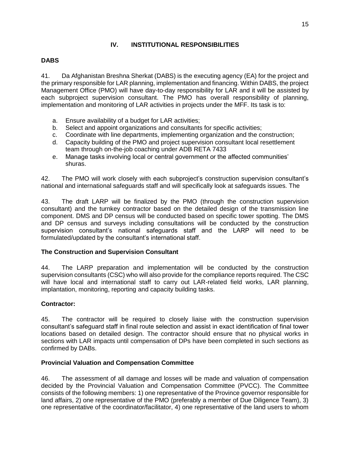## **IV. INSTITUTIONAL RESPONSIBILITIES**

## <span id="page-20-1"></span><span id="page-20-0"></span>**DABS**

41. Da Afghanistan Breshna Sherkat (DABS) is the executing agency (EA) for the project and the primary responsible for LAR planning, implementation and financing. Within DABS, the project Management Office (PMO) will have day-to-day responsibility for LAR and it will be assisted by each subproject supervision consultant. The PMO has overall responsibility of planning, implementation and monitoring of LAR activities in projects under the MFF. Its task is to:

- a. Ensure availability of a budget for LAR activities;
- b. Select and appoint organizations and consultants for specific activities;
- c. Coordinate with line departments, implementing organization and the construction;
- d. Capacity building of the PMO and project supervision consultant local resettlement team through on-the-job coaching under ADB RETA 7433
- e. Manage tasks involving local or central government or the affected communities' shuras.

42. The PMO will work closely with each subproject's construction supervision consultant's national and international safeguards staff and will specifically look at safeguards issues. The

43. The draft LARP will be finalized by the PMO (through the construction supervision consultant) and the turnkey contractor based on the detailed design of the transmission line component. DMS and DP census will be conducted based on specific tower spotting. The DMS and DP census and surveys including consultations will be conducted by the construction supervision consultant's national safeguards staff and the LARP will need to be formulated/updated by the consultant's international staff.

## **The Construction and Supervision Consultant**

44. The LARP preparation and implementation will be conducted by the construction supervision consultants (CSC) who will also provide for the compliance reports required. The CSC will have local and international staff to carry out LAR-related field works, LAR planning, implantation, monitoring, reporting and capacity building tasks.

## **Contractor:**

45. The contractor will be required to closely liaise with the construction supervision consultant's safeguard staff in final route selection and assist in exact identification of final tower locations based on detailed design. The contractor should ensure that no physical works in sections with LAR impacts until compensation of DPs have been completed in such sections as confirmed by DABs.

## <span id="page-20-2"></span>**Provincial Valuation and Compensation Committee**

46. The assessment of all damage and losses will be made and valuation of compensation decided by the Provincial Valuation and Compensation Committee (PVCC). The Committee consists of the following members: 1) one representative of the Province governor responsible for land affairs, 2) one representative of the PMO (preferably a member of Due Diligence Team), 3) one representative of the coordinator/facilitator, 4) one representative of the land users to whom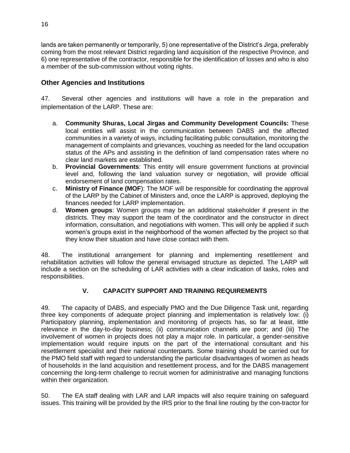lands are taken permanently or temporarily, 5) one representative of the District's Jirga, preferably coming from the most relevant District regarding land acquisition of the respective Province, and 6) one representative of the contractor, responsible for the identification of losses and who is also a member of the sub-commission without voting rights.

# <span id="page-21-0"></span>**Other Agencies and Institutions**

47. Several other agencies and institutions will have a role in the preparation and implementation of the LARP. These are:

- a. **Community Shuras, Local Jirgas and Community Development Councils:** These local entities will assist in the communication between DABS and the affected communities in a variety of ways, including facilitating public consultation, monitoring the management of complaints and grievances, vouching as needed for the land occupation status of the APs and assisting in the definition of land compensation rates where no clear land markets are established.
- b. **Provincial Governments**: This entity will ensure government functions at provincial level and, following the land valuation survey or negotiation, will provide official endorsement of land compensation rates.
- c. **Ministry of Finance (MOF**): The MOF will be responsible for coordinating the approval of the LARP by the Cabinet of Ministers and, once the LARP is approved, deploying the finances needed for LARP implementation.
- d. **Women groups**: Women groups may be an additional stakeholder if present in the districts. They may support the team of the coordinator and the constructor in direct information, consultation, and negotiations with women. This will only be applied if such women's groups exist in the neighborhood of the women affected by the project so that they know their situation and have close contact with them.

48. The institutional arrangement for planning and implementing resettlement and rehabilitation activities will follow the general envisaged structure as depicted. The LARP will include a section on the scheduling of LAR activities with a clear indication of tasks, roles and responsibilities.

# **V. CAPACITY SUPPORT AND TRAINING REQUIREMENTS**

<span id="page-21-1"></span>49. The capacity of DABS, and especially PMO and the Due Diligence Task unit, regarding three key components of adequate project planning and implementation is relatively low: (i) Participatory planning, implementation and monitoring of projects has, so far at least, little relevance in the day-to-day business; (ii) communication channels are poor; and (iii) The involvement of women in projects does not play a major role. In particular, a gender-sensitive implementation would require inputs on the part of the international consultant and his resettlement specialist and their national counterparts. Some training should be carried out for the PMO field staff with regard to understanding the particular disadvantages of women as heads of households in the land acquisition and resettlement process, and for the DABS management concerning the long-term challenge to recruit women for administrative and managing functions within their organization.

50. The EA staff dealing with LAR and LAR impacts will also require training on safeguard issues. This training will be provided by the IRS prior to the final line routing by the con-tractor for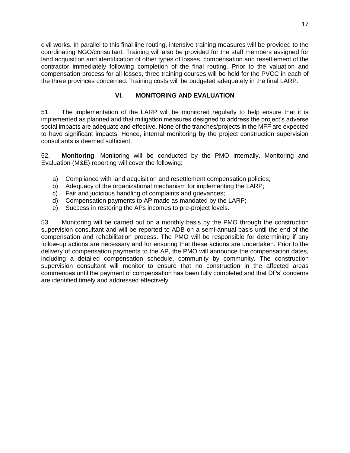civil works. In parallel to this final line routing, intensive training measures will be provided to the coordinating NGO/consultant. Training will also be provided for the staff members assigned for land acquisition and identification of other types of losses, compensation and resettlement of the contractor immediately following completion of the final routing. Prior to the valuation and compensation process for all losses, three training courses will be held for the PVCC in each of the three provinces concerned. Training costs will be budgeted adequately in the final LARP.

## **VI. MONITORING AND EVALUATION**

<span id="page-22-0"></span>51. The implementation of the LARP will be monitored regularly to help ensure that it is implemented as planned and that mitigation measures designed to address the project's adverse social impacts are adequate and effective. None of the tranches/projects in the MFF are expected to have significant impacts. Hence, internal monitoring by the project construction supervision consultants is deemed sufficient.

52. **Monitoring**. Monitoring will be conducted by the PMO internally. Monitoring and Evaluation (M&E) reporting will cover the following:

- a) Compliance with land acquisition and resettlement compensation policies;
- b) Adequacy of the organizational mechanism for implementing the LARP;
- c) Fair and judicious handling of complaints and grievances;
- d) Compensation payments to AP made as mandated by the LARP;
- e) Success in restoring the APs incomes to pre-project levels.

53. Monitoring will be carried out on a monthly basis by the PMO through the construction supervision consultant and will be reported to ADB on a semi-annual basis until the end of the compensation and rehabilitation process. The PMO will be responsible for determining if any follow-up actions are necessary and for ensuring that these actions are undertaken. Prior to the delivery of compensation payments to the AP, the PMO will announce the compensation dates, including a detailed compensation schedule, community by community. The construction supervision consultant will monitor to ensure that no construction in the affected areas commences until the payment of compensation has been fully completed and that DPs' concerns are identified timely and addressed effectively.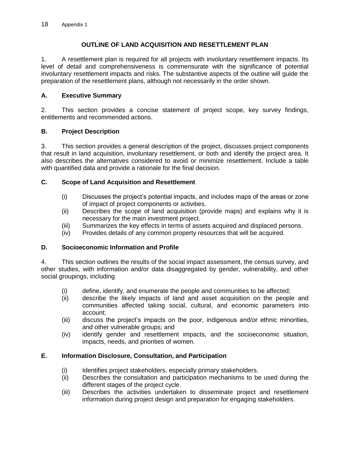## **OUTLINE OF LAND ACQUISITION AND RESETTLEMENT PLAN**

1. A resettlement plan is required for all projects with involuntary resettlement impacts. Its level of detail and comprehensiveness is commensurate with the significance of potential involuntary resettlement impacts and risks. The substantive aspects of the outline will guide the preparation of the resettlement plans, although not necessarily in the order shown.

## **A. Executive Summary**

2. This section provides a concise statement of project scope, key survey findings, entitlements and recommended actions.

## **B. Project Description**

3. This section provides a general description of the project, discusses project components that result in land acquisition, involuntary resettlement, or both and identify the project area. It also describes the alternatives considered to avoid or minimize resettlement. Include a table with quantified data and provide a rationale for the final decision.

## **C. Scope of Land Acquisition and Resettlement**

- (i) Discusses the project's potential impacts, and includes maps of the areas or zone of impact of project components or activities.
- (ii) Describes the scope of land acquisition (provide maps) and explains why it is necessary for the main investment project.
- (iii) Summarizes the key effects in terms of assets acquired and displaced persons.
- (iv) Provides details of any common property resources that will be acquired.

## **D. Socioeconomic Information and Profile**

4. This section outlines the results of the social impact assessment, the census survey, and other studies, with information and/or data disaggregated by gender, vulnerability, and other social groupings, including

- (i) define, identify, and enumerate the people and communities to be affected;
- (ii) describe the likely impacts of land and asset acquisition on the people and communities affected taking social, cultural, and economic parameters into account;
- (iii) discuss the project's impacts on the poor, indigenous and/or ethnic minorities, and other vulnerable groups; and
- (iv) identify gender and resettlement impacts, and the socioeconomic situation, impacts, needs, and priorities of women.

## **E. Information Disclosure, Consultation, and Participation**

- (i) Identifies project stakeholders, especially primary stakeholders.
- (ii) Describes the consultation and participation mechanisms to be used during the different stages of the project cycle.
- (iii) Describes the activities undertaken to disseminate project and resettlement information during project design and preparation for engaging stakeholders.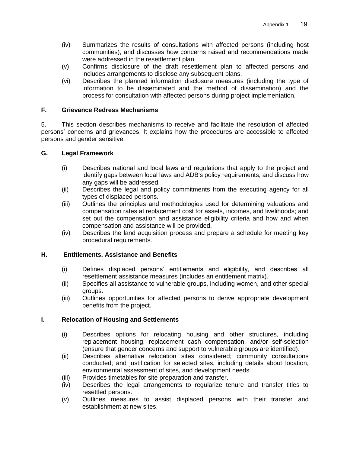- (iv) Summarizes the results of consultations with affected persons (including host communities), and discusses how concerns raised and recommendations made were addressed in the resettlement plan.
- (v) Confirms disclosure of the draft resettlement plan to affected persons and includes arrangements to disclose any subsequent plans.
- (vi) Describes the planned information disclosure measures (including the type of information to be disseminated and the method of dissemination) and the process for consultation with affected persons during project implementation.

## **F. Grievance Redress Mechanisms**

5. This section describes mechanisms to receive and facilitate the resolution of affected persons' concerns and grievances. It explains how the procedures are accessible to affected persons and gender sensitive.

## **G. Legal Framework**

- (i) Describes national and local laws and regulations that apply to the project and identify gaps between local laws and ADB's policy requirements; and discuss how any gaps will be addressed.
- (ii) Describes the legal and policy commitments from the executing agency for all types of displaced persons.
- (iii) Outlines the principles and methodologies used for determining valuations and compensation rates at replacement cost for assets, incomes, and livelihoods; and set out the compensation and assistance eligibility criteria and how and when compensation and assistance will be provided.
- (iv) Describes the land acquisition process and prepare a schedule for meeting key procedural requirements.

## **H. Entitlements, Assistance and Benefits**

- (i) Defines displaced persons' entitlements and eligibility, and describes all resettlement assistance measures (includes an entitlement matrix).
- (ii) Specifies all assistance to vulnerable groups, including women, and other special groups.
- (iii) Outlines opportunities for affected persons to derive appropriate development benefits from the project.

## **I. Relocation of Housing and Settlements**

- (i) Describes options for relocating housing and other structures, including replacement housing, replacement cash compensation, and/or self-selection (ensure that gender concerns and support to vulnerable groups are identified).
- (ii) Describes alternative relocation sites considered; community consultations conducted; and justification for selected sites, including details about location, environmental assessment of sites, and development needs.
- (iii) Provides timetables for site preparation and transfer.
- (iv) Describes the legal arrangements to regularize tenure and transfer titles to resettled persons.
- (v) Outlines measures to assist displaced persons with their transfer and establishment at new sites.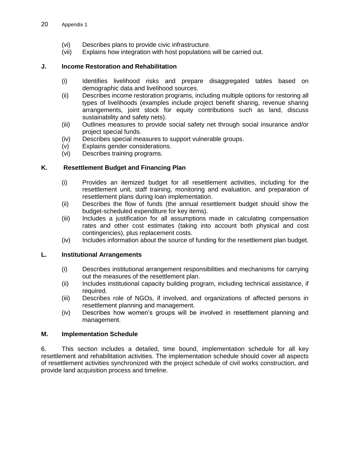- (vi) Describes plans to provide civic infrastructure.
- (vii) Explains how integration with host populations will be carried out.

## **J. Income Restoration and Rehabilitation**

- (i) Identifies livelihood risks and prepare disaggregated tables based on demographic data and livelihood sources.
- (ii) Describes income restoration programs, including multiple options for restoring all types of livelihoods (examples include project benefit sharing, revenue sharing arrangements, joint stock for equity contributions such as land, discuss sustainability and safety nets).
- (iii) Outlines measures to provide social safety net through social insurance and/or project special funds.
- (iv) Describes special measures to support vulnerable groups.
- (v) Explains gender considerations.
- (vi) Describes training programs.

## **K. Resettlement Budget and Financing Plan**

- (i) Provides an itemized budget for all resettlement activities, including for the resettlement unit, staff training, monitoring and evaluation, and preparation of resettlement plans during loan implementation.
- (ii) Describes the flow of funds (the annual resettlement budget should show the budget-scheduled expenditure for key items).
- (iii) Includes a justification for all assumptions made in calculating compensation rates and other cost estimates (taking into account both physical and cost contingencies), plus replacement costs.
- (iv) Includes information about the source of funding for the resettlement plan budget.

#### **L. Institutional Arrangements**

- (i) Describes institutional arrangement responsibilities and mechanisms for carrying out the measures of the resettlement plan.
- (ii) Includes institutional capacity building program, including technical assistance, if required.
- (iii) Describes role of NGOs, if involved, and organizations of affected persons in resettlement planning and management.
- (iv) Describes how women's groups will be involved in resettlement planning and management.

#### **M. Implementation Schedule**

6. This section includes a detailed, time bound, implementation schedule for all key resettlement and rehabilitation activities. The implementation schedule should cover all aspects of resettlement activities synchronized with the project schedule of civil works construction, and provide land acquisition process and timeline.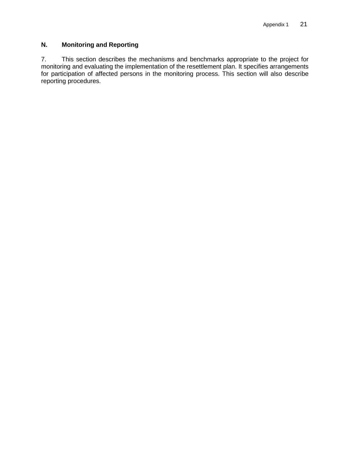## **N. Monitoring and Reporting**

7. This section describes the mechanisms and benchmarks appropriate to the project for monitoring and evaluating the implementation of the resettlement plan. It specifies arrangements for participation of affected persons in the monitoring process. This section will also describe reporting procedures.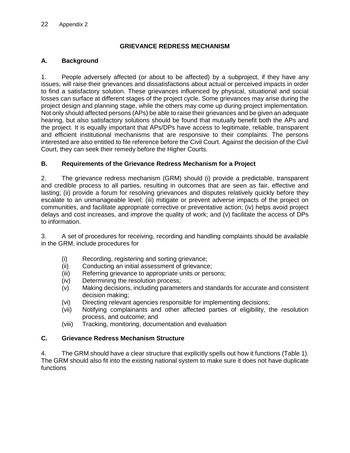## **GRIEVANCE REDRESS MECHANISM**

## **A. Background**

1. People adversely affected (or about to be affected) by a subproject, if they have any issues, will raise their grievances and dissatisfactions about actual or perceived impacts in order to find a satisfactory solution. These grievances influenced by physical, situational and social losses can surface at different stages of the project cycle. Some grievances may arise during the project design and planning stage, while the others may come up during project implementation. Not only should affected persons (APs) be able to raise their grievances and be given an adequate hearing, but also satisfactory solutions should be found that mutually benefit both the APs and the project. It is equally important that APs/DPs have access to legitimate, reliable, transparent and efficient institutional mechanisms that are responsive to their complaints. The persons interested are also entitled to file reference before the Civil Court. Against the decision of the Civil Court, they can seek their remedy before the Higher Courts.

## **B. Requirements of the Grievance Redress Mechanism for a Project**

2. The grievance redress mechanism (GRM) should (i) provide a predictable, transparent and credible process to all parties, resulting in outcomes that are seen as fair, effective and lasting; (ii) provide a forum for resolving grievances and disputes relatively quickly before they escalate to an unmanageable level; (iii) mitigate or prevent adverse impacts of the project on communities, and facilitate appropriate corrective or preventative action; (iv) helps avoid project delays and cost increases, and improve the quality of work; and (v) facilitate the access of DPs to information.

3. A set of procedures for receiving, recording and handling complaints should be available in the GRM, include procedures for

- (i) Recording, registering and sorting grievance;
- (ii) Conducting an initial assessment of grievance;
- (iii) Referring grievance to appropriate units or persons;
- (iv) Determining the resolution process;
- (v) Making decisions, including parameters and standards for accurate and consistent decision making;
- (vi) Directing relevant agencies responsible for implementing decisions;
- (vii) Notifying complainants and other affected parties of eligibility, the resolution process, and outcome; and
- (viii) Tracking, monitoring, documentation and evaluation

## <span id="page-27-0"></span>**C. Grievance Redress Mechanism Structure**

4. The GRM should have a clear structure that explicitly spells out how it functions (Table 1). The GRM should also fit into the existing national system to make sure it does not have duplicate functions